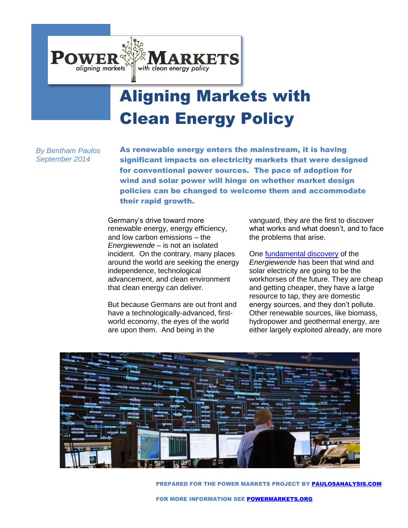

# Aligning Markets with Clean Energy Policy

*By Bentham Paulos September 2014*

As renewable energy enters the mainstream, it is having significant impacts on electricity markets that were designed for conventional power sources. The pace of adoption for wind and solar power will hinge on whether market design policies can be changed to welcome them and accommodate their rapid growth.

Germany's drive toward more renewable energy, energy efficiency, and low carbon emissions – the *Energiewende –* is not an isolated incident. On the contrary, many places around the world are seeking the energy independence, technological advancement, and clean environment that clean energy can deliver.

But because Germans are out front and have a technologically-advanced, firstworld economy, the eyes of the world are upon them. And being in the

vanguard, they are the first to discover what works and what doesn't, and to face the problems that arise.

One [fundamental discovery](http://www.agora-energiewende.org/topics/the-energiewende/detail-view/article/12-insights-on-the-energiewende/) of the

*Energiewende* has been that wind and solar electricity are going to be the workhorses of the future. They are cheap and getting cheaper, they have a large resource to tap, they are domestic energy sources, and they don't pollute. Other renewable sources, like biomass, hydropower and geothermal energy, are either largely exploited already, are more



PREPARED FOR THE POWER MARKETS PROJECT BY [PAULOSANALYSIS.COM](paulosanalysis.com)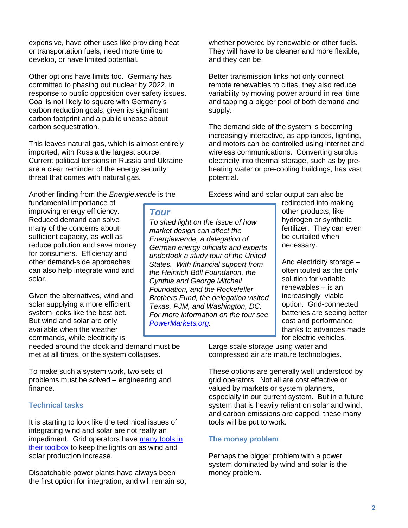expensive, have other uses like providing heat or transportation fuels, need more time to develop, or have limited potential.

Other options have limits too. Germany has committed to phasing out nuclear by 2022, in response to public opposition over safety issues. Coal is not likely to square with Germany's carbon reduction goals, given its significant carbon footprint and a public unease about carbon sequestration.

This leaves natural gas, which is almost entirely imported, with Russia the largest source. Current political tensions in Russia and Ukraine are a clear reminder of the energy security threat that comes with natural gas.

Another finding from the *Energiewende* is the

fundamental importance of improving energy efficiency. Reduced demand can solve many of the concerns about sufficient capacity, as well as reduce pollution and save money for consumers. Efficiency and other demand-side approaches can also help integrate wind and solar.

Given the alternatives, wind and solar supplying a more efficient system looks like the best bet. But wind and solar are only available when the weather commands, while electricity is

needed around the clock and demand must be met at all times, or the system collapses.

To make such a system work, two sets of problems must be solved – engineering and finance.

## **Technical tasks**

It is starting to look like the technical issues of integrating wind and solar are not really an impediment. Grid operators have [many tools in](http://www.raponline.org/document/download/id/6977)  [their toolbox](http://www.raponline.org/document/download/id/6977) to keep the lights on as wind and solar production increase.

Dispatchable power plants have always been the first option for integration, and will remain so, whether powered by renewable or other fuels. They will have to be cleaner and more flexible, and they can be.

Better transmission links not only connect remote renewables to cities, they also reduce variability by moving power around in real time and tapping a bigger pool of both demand and supply.

The demand side of the system is becoming increasingly interactive, as appliances, lighting, and motors can be controlled using internet and wireless communications. Converting surplus electricity into thermal storage, such as by preheating water or pre-cooling buildings, has vast potential.

Excess wind and solar output can also be

*Tour*

*To shed light on the issue of how market design can affect the Energiewende, a delegation of German energy officials and experts undertook a study tour of the United States. With financial support from the Heinrich Böll Foundation, the Cynthia and George Mitchell Foundation, and the Rockefeller Brothers Fund, the delegation visited Texas, PJM, and Washington, DC. For more information on the tour see [PowerMarkets.org.](http://www.powermarkets.org/)*

redirected into making other products, like hydrogen or synthetic fertilizer. They can even be curtailed when necessary.

And electricity storage – often touted as the only solution for variable renewables – is an increasingly viable option. Grid-connected batteries are seeing better cost and performance thanks to advances made for electric vehicles.

Large scale storage using water and compressed air are mature technologies.

These options are generally well understood by grid operators. Not all are cost effective or valued by markets or system planners, especially in our current system. But in a future system that is heavily reliant on solar and wind, and carbon emissions are capped, these many tools will be put to work.

## **The money problem**

Perhaps the bigger problem with a power system dominated by wind and solar is the money problem.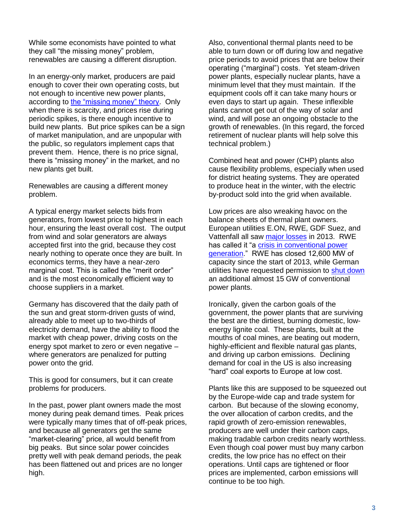While some economists have pointed to what they call "the missing money" problem, renewables are causing a different disruption.

In an energy-only market, producers are paid enough to cover their own operating costs, but not enough to incentive new power plants, according to [the "missing money" theory.](http://economics.mit.edu/files/2095) Only when there is scarcity, and prices rise during periodic spikes, is there enough incentive to build new plants. But price spikes can be a sign of market manipulation, and are unpopular with the public, so regulators implement caps that prevent them. Hence, there is no price signal, there is "missing money" in the market, and no new plants get built.

Renewables are causing a different money problem.

A typical energy market selects bids from generators, from lowest price to highest in each hour, ensuring the least overall cost. The output from wind and solar generators are always accepted first into the grid, because they cost nearly nothing to operate once they are built. In economics terms, they have a near-zero marginal cost. This is called the "merit order" and is the most economically efficient way to choose suppliers in a market.

Germany has discovered that the daily path of the sun and great storm-driven gusts of wind, already able to meet up to two-thirds of electricity demand, have the ability to flood the market with cheap power, driving costs on the energy spot market to zero or even negative – where generators are penalized for putting power onto the grid.

This is good for consumers, but it can create problems for producers.

In the past, power plant owners made the most money during peak demand times. Peak prices were typically many times that of off-peak prices, and because all generators get the same "market-clearing" price, all would benefit from big peaks. But since solar power coincides pretty well with peak demand periods, the peak has been flattened out and prices are no longer high.

Also, conventional thermal plants need to be able to turn down or off during low and negative price periods to avoid prices that are below their operating ("marginal") costs. Yet steam-driven power plants, especially nuclear plants, have a minimum level that they must maintain. If the equipment cools off it can take many hours or even days to start up again. These inflexible plants cannot get out of the way of solar and wind, and will pose an ongoing obstacle to the growth of renewables. (In this regard, the forced retirement of nuclear plants will help solve this technical problem.)

Combined heat and power (CHP) plants also cause flexibility problems, especially when used for district heating systems. They are operated to produce heat in the winter, with the electric by-product sold into the grid when available.

Low prices are also wreaking havoc on the balance sheets of thermal plant owners. European utilities E.ON, RWE, GDF Suez, and Vattenfall all saw [major losses](http://online.wsj.com/news/articles/SB10001424052702304255604579408362026916346) in 2013. RWE has called it "a crisis in conventional power [generation.](http://www.powermag.com/rwes-thomas-birr-on-corporate-strategy-in-a-changing-german-electricity-ecosystem/)" RWE has closed 12,600 MW of capacity since the start of 2013, while German utilities have requested permission to [shut down](http://af.reuters.com/article/commoditiesNews/idAFL6N0QI2SK20140812) an additional almost 15 GW of conventional power plants.

Ironically, given the carbon goals of the government, the power plants that are surviving the best are the dirtiest, burning domestic, lowenergy lignite coal. These plants, built at the mouths of coal mines, are beating out modern, highly-efficient and flexible natural gas plants, and driving up carbon emissions. Declining demand for coal in the US is also increasing "hard" coal exports to Europe at low cost.

Plants like this are supposed to be squeezed out by the Europe-wide cap and trade system for carbon. But because of the slowing economy, the over allocation of carbon credits, and the rapid growth of zero-emission renewables, producers are well under their carbon caps, making tradable carbon credits nearly worthless. Even though coal power must buy many carbon credits, the low price has no effect on their operations. Until caps are tightened or floor prices are implemented, carbon emissions will continue to be too high.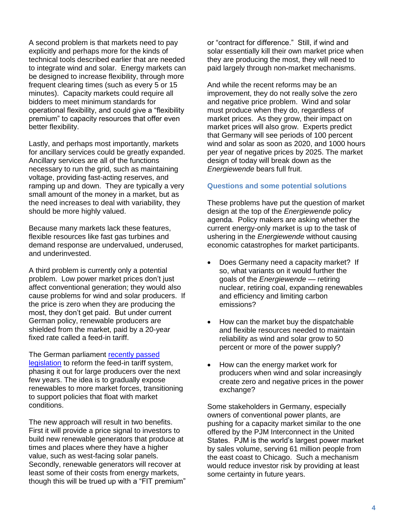A second problem is that markets need to pay explicitly and perhaps more for the kinds of technical tools described earlier that are needed to integrate wind and solar. Energy markets can be designed to increase flexibility, through more frequent clearing times (such as every 5 or 15 minutes). Capacity markets could require all bidders to meet minimum standards for operational flexibility, and could give a "flexibility premium" to capacity resources that offer even better flexibility.

Lastly, and perhaps most importantly, markets for ancillary services could be greatly expanded. Ancillary services are all of the functions necessary to run the grid, such as maintaining voltage, providing fast-acting reserves, and ramping up and down. They are typically a very small amount of the money in a market, but as the need increases to deal with variability, they should be more highly valued.

Because many markets lack these features, flexible resources like fast gas turbines and demand response are undervalued, underused, and underinvested.

A third problem is currently only a potential problem. Low power market prices don't just affect conventional generation; they would also cause problems for wind and solar producers. If the price is zero when they are producing the most, they don't get paid. But under current German policy, renewable producers are shielded from the market, paid by a 20-year fixed rate called a feed-in tariff.

The German parliament [recently passed](http://www.powermag.com/germany-reforms-renewable-energy-laws/)  [legislation](http://www.powermag.com/germany-reforms-renewable-energy-laws/) to reform the feed-in tariff system, phasing it out for large producers over the next few years. The idea is to gradually expose renewables to more market forces, transitioning to support policies that float with market conditions.

The new approach will result in two benefits. First it will provide a price signal to investors to build new renewable generators that produce at times and places where they have a higher value, such as west-facing solar panels. Secondly, renewable generators will recover at least some of their costs from energy markets, though this will be trued up with a "FIT premium" or "contract for difference." Still, if wind and solar essentially kill their own market price when they are producing the most, they will need to paid largely through non-market mechanisms.

And while the recent reforms may be an improvement, they do not really solve the zero and negative price problem. Wind and solar must produce when they do, regardless of market prices. As they grow, their impact on market prices will also grow. Experts predict that Germany will see periods of 100 percent wind and solar as soon as 2020, and 1000 hours per year of negative prices by 2025. The market design of today will break down as the *Energiewende* bears full fruit.

### **Questions and some potential solutions**

These problems have put the question of market design at the top of the *Energiewende* policy agenda. Policy makers are asking whether the current energy-only market is up to the task of ushering in the *Energiewende* without causing economic catastrophes for market participants.

- Does Germany need a capacity market? If so, what variants on it would further the goals of the *Energiewende* — retiring nuclear, retiring coal, expanding renewables and efficiency and limiting carbon emissions?
- How can the market buy the dispatchable and flexible resources needed to maintain reliability as wind and solar grow to 50 percent or more of the power supply?
- How can the energy market work for producers when wind and solar increasingly create zero and negative prices in the power exchange?

Some stakeholders in Germany, especially owners of conventional power plants, are pushing for a capacity market similar to the one offered by the PJM Interconnect in the United States. PJM is the world's largest power market by sales volume, serving 61 million people from the east coast to Chicago. Such a mechanism would reduce investor risk by providing at least some certainty in future years.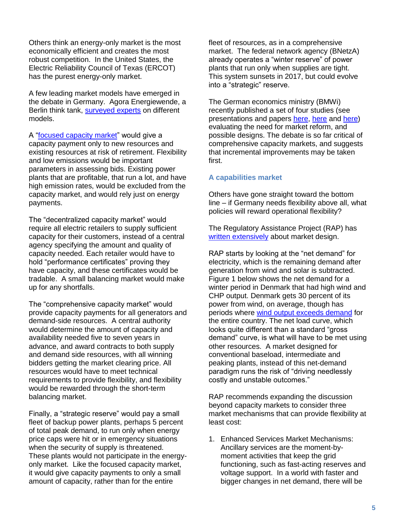Others think an energy-only market is the most economically efficient and creates the most robust competition. In the United States, the Electric Reliability Council of Texas (ERCOT) has the purest energy-only market.

A few leading market models have emerged in the debate in Germany. Agora Energiewende, a Berlin think tank, [surveyed experts](http://www.agora-energiewende.org/topics/electricity-market-and-system-reliability/detail-view/article/zehn-fragen-zum-kapazitaetsmarkt/) on different models.

A ["focused capacity market"](http://www.wwf.de/fileadmin/fm-wwf/Publikationen-PDF/focused_capacity_market_ENG_short.pdf) would give a capacity payment only to new resources and existing resources at risk of retirement. Flexibility and low emissions would be important parameters in assessing bids. Existing power plants that are profitable, that run a lot, and have high emission rates, would be excluded from the capacity market, and would rely just on energy payments.

The "decentralized capacity market" would require all electric retailers to supply sufficient capacity for their customers, instead of a central agency specifying the amount and quality of capacity needed. Each retailer would have to hold "performance certificates" proving they have capacity, and these certificates would be tradable. A small balancing market would make up for any shortfalls.

The "comprehensive capacity market" would provide capacity payments for all generators and demand-side resources. A central authority would determine the amount of capacity and availability needed five to seven years in advance, and award contracts to both supply and demand side resources, with all winning bidders getting the market clearing price. All resources would have to meet technical requirements to provide flexibility, and flexibility would be rewarded through the short-term balancing market.

Finally, a "strategic reserve" would pay a small fleet of backup power plants, perhaps 5 percent of total peak demand, to run only when energy price caps were hit or in emergency situations when the security of supply is threatened. These plants would not participate in the energyonly market. Like the focused capacity market, it would give capacity payments to only a small amount of capacity, rather than for the entire

fleet of resources, as in a comprehensive market. The federal network agency (BNetzA) already operates a "winter reserve" of power plants that run only when supplies are tight. This system sunsets in 2017, but could evolve into a "strategic" reserve.

The German economics ministry (BMWi) recently published a set of four studies (see presentations and papers [here,](http://bmwi.de/DE/Themen/Energie/Strommarkt-der-Zukunft/plattform-strommarkt,did=646624.html) [here](http://bmwi.de/DE/Mediathek/publikationen,did=643918.html) and [here\)](http://www.bmwi.de/DE/Presse/pressemitteilungen,did=648264.html) evaluating the need for market reform, and possible designs. The debate is so far critical of comprehensive capacity markets, and suggests that incremental improvements may be taken first.

#### **A capabilities market**

Others have gone straight toward the bottom line – if Germany needs flexibility above all, what policies will reward operational flexibility?

The Regulatory Assistance Project (RAP) has [written extensively](http://www.raponline.org/press-release/capacity-mechanisms-and-the-reliability-challenge) about market design.

RAP starts by looking at the "net demand" for electricity, which is the remaining demand after generation from wind and solar is subtracted. Figure 1 below shows the net demand for a winter period in Denmark that had high wind and CHP output. Denmark gets 30 percent of its power from wind, on average, though has periods where [wind output exceeds demand](http://aweablog.org/blog/post/postcard-from-the-future-122-wind-power-in-denmark) for the entire country. The net load curve, which looks quite different than a standard "gross demand" curve, is what will have to be met using other resources. A market designed for conventional baseload, intermediate and peaking plants, instead of this net-demand paradigm runs the risk of "driving needlessly costly and unstable outcomes."

RAP recommends expanding the discussion beyond capacity markets to consider three market mechanisms that can provide flexibility at least cost:

1. Enhanced Services Market Mechanisms: Ancillary services are the moment-bymoment activities that keep the grid functioning, such as fast-acting reserves and voltage support. In a world with faster and bigger changes in net demand, there will be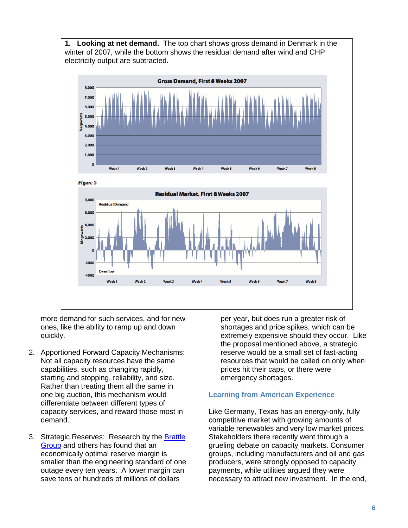**1. Looking at net demand.** The top chart shows gross demand in Denmark in the winter of 2007, while the bottom shows the residual demand after wind and CHP electricity output are subtracted.



more demand for such services, and for new ones, like the ability to ramp up and down quickly.

- 2. Apportioned Forward Capacity Mechanisms: Not all capacity resources have the same capabilities, such as changing rapidly, starting and stopping, reliability, and size. Rather than treating them all the same in one big auction, this mechanism would differentiate between different types of capacity services, and reward those most in demand.
- 3. Strategic Reserves: Research by the [Brattle](http://brattle.com/news-and-knowledge/news/613)  [Group](http://brattle.com/news-and-knowledge/news/613) and others has found that an economically optimal reserve margin is smaller than the engineering standard of one outage every ten years. A lower margin can save tens or hundreds of millions of dollars

per year, but does run a greater risk of shortages and price spikes, which can be extremely expensive should they occur. Like the proposal mentioned above, a strategic reserve would be a small set of fast-acting resources that would be called on only when prices hit their caps, or there were emergency shortages.

## **Learning from American Experience**

Like Germany, Texas has an energy-only, fully competitive market with growing amounts of variable renewables and very low market prices. Stakeholders there recently went through a grueling debate on capacity markets. Consumer groups, including manufacturers and oil and gas producers, were strongly opposed to capacity payments, while utilities argued they were necessary to attract new investment. In the end,